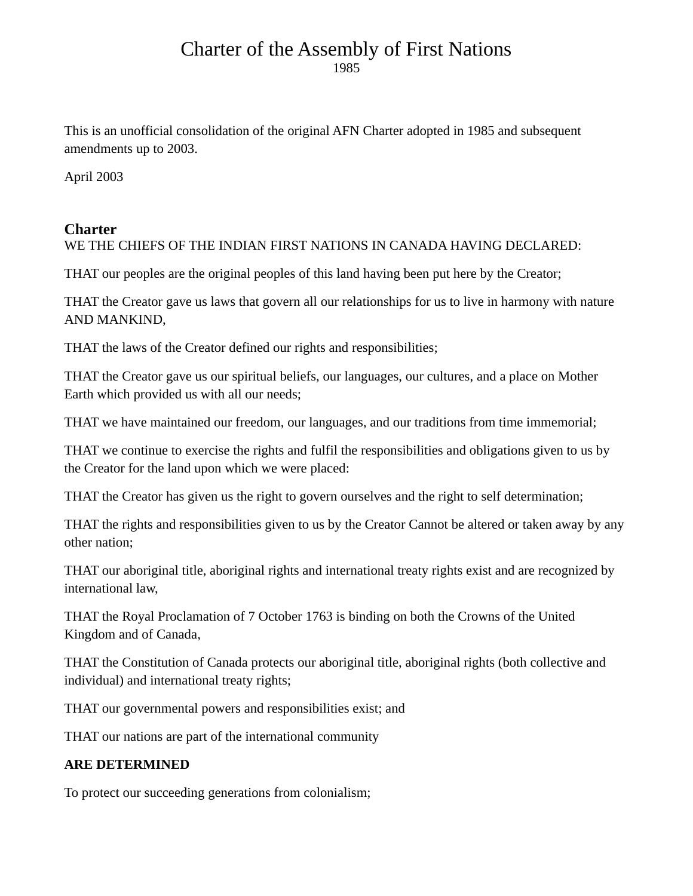This is an unofficial consolidation of the original AFN Charter adopted in 1985 and subsequent amendments up to 2003.

April 2003

## **Charter**

WE THE CHIEFS OF THE INDIAN FIRST NATIONS IN CANADA HAVING DECLARED:

THAT our peoples are the original peoples of this land having been put here by the Creator;

THAT the Creator gave us laws that govern all our relationships for us to live in harmony with nature AND MANKIND,

THAT the laws of the Creator defined our rights and responsibilities;

THAT the Creator gave us our spiritual beliefs, our languages, our cultures, and a place on Mother Earth which provided us with all our needs;

THAT we have maintained our freedom, our languages, and our traditions from time immemorial;

THAT we continue to exercise the rights and fulfil the responsibilities and obligations given to us by the Creator for the land upon which we were placed:

THAT the Creator has given us the right to govern ourselves and the right to self determination;

THAT the rights and responsibilities given to us by the Creator Cannot be altered or taken away by any other nation;

THAT our aboriginal title, aboriginal rights and international treaty rights exist and are recognized by international law,

THAT the Royal Proclamation of 7 October 1763 is binding on both the Crowns of the United Kingdom and of Canada,

THAT the Constitution of Canada protects our aboriginal title, aboriginal rights (both collective and individual) and international treaty rights;

THAT our governmental powers and responsibilities exist; and

THAT our nations are part of the international community

#### **ARE DETERMINED**

To protect our succeeding generations from colonialism;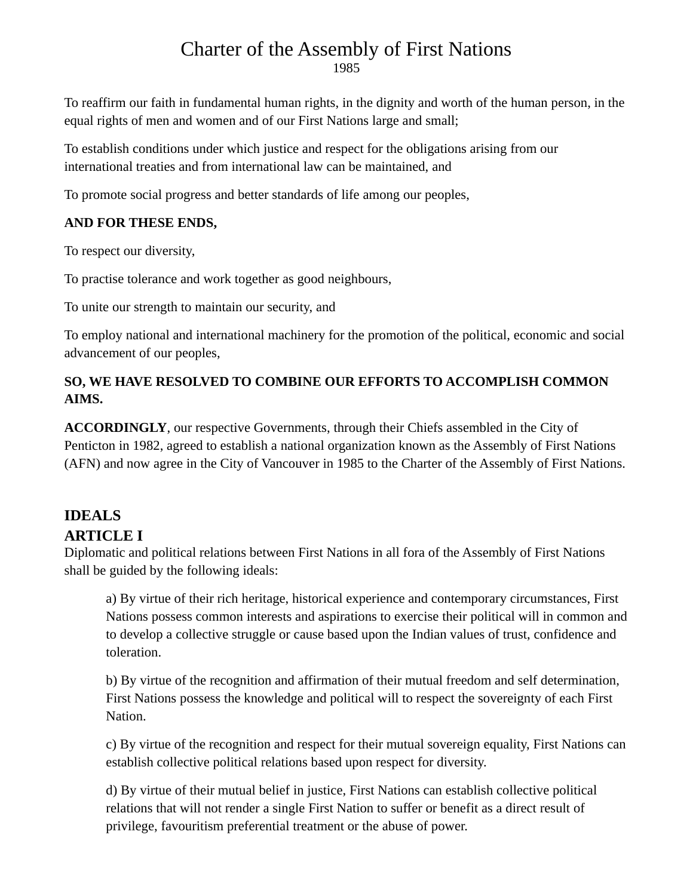To reaffirm our faith in fundamental human rights, in the dignity and worth of the human person, in the equal rights of men and women and of our First Nations large and small;

To establish conditions under which justice and respect for the obligations arising from our international treaties and from international law can be maintained, and

To promote social progress and better standards of life among our peoples,

### **AND FOR THESE ENDS,**

To respect our diversity,

To practise tolerance and work together as good neighbours,

To unite our strength to maintain our security, and

To employ national and international machinery for the promotion of the political, economic and social advancement of our peoples,

## **SO, WE HAVE RESOLVED TO COMBINE OUR EFFORTS TO ACCOMPLISH COMMON AIMS.**

**ACCORDINGLY**, our respective Governments, through their Chiefs assembled in the City of Penticton in 1982, agreed to establish a national organization known as the Assembly of First Nations (AFN) and now agree in the City of Vancouver in 1985 to the Charter of the Assembly of First Nations.

## **IDEALS ARTICLE I**

Diplomatic and political relations between First Nations in all fora of the Assembly of First Nations shall be guided by the following ideals:

a) By virtue of their rich heritage, historical experience and contemporary circumstances, First Nations possess common interests and aspirations to exercise their political will in common and to develop a collective struggle or cause based upon the Indian values of trust, confidence and toleration.

b) By virtue of the recognition and affirmation of their mutual freedom and self determination, First Nations possess the knowledge and political will to respect the sovereignty of each First Nation.

c) By virtue of the recognition and respect for their mutual sovereign equality, First Nations can establish collective political relations based upon respect for diversity.

d) By virtue of their mutual belief in justice, First Nations can establish collective political relations that will not render a single First Nation to suffer or benefit as a direct result of privilege, favouritism preferential treatment or the abuse of power.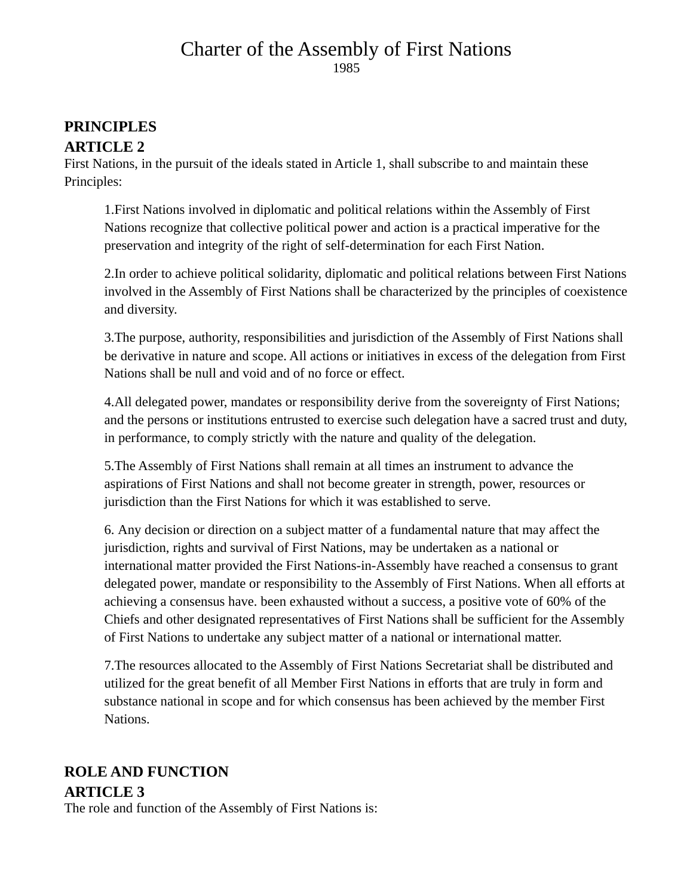# **PRINCIPLES**

#### **ARTICLE 2**

First Nations, in the pursuit of the ideals stated in Article 1, shall subscribe to and maintain these Principles:

1.First Nations involved in diplomatic and political relations within the Assembly of First Nations recognize that collective political power and action is a practical imperative for the preservation and integrity of the right of self-determination for each First Nation.

2.In order to achieve political solidarity, diplomatic and political relations between First Nations involved in the Assembly of First Nations shall be characterized by the principles of coexistence and diversity.

3.The purpose, authority, responsibilities and jurisdiction of the Assembly of First Nations shall be derivative in nature and scope. All actions or initiatives in excess of the delegation from First Nations shall be null and void and of no force or effect.

4.All delegated power, mandates or responsibility derive from the sovereignty of First Nations; and the persons or institutions entrusted to exercise such delegation have a sacred trust and duty, in performance, to comply strictly with the nature and quality of the delegation.

5.The Assembly of First Nations shall remain at all times an instrument to advance the aspirations of First Nations and shall not become greater in strength, power, resources or jurisdiction than the First Nations for which it was established to serve.

6. Any decision or direction on a subject matter of a fundamental nature that may affect the jurisdiction, rights and survival of First Nations, may be undertaken as a national or international matter provided the First Nations-in-Assembly have reached a consensus to grant delegated power, mandate or responsibility to the Assembly of First Nations. When all efforts at achieving a consensus have. been exhausted without a success, a positive vote of 60% of the Chiefs and other designated representatives of First Nations shall be sufficient for the Assembly of First Nations to undertake any subject matter of a national or international matter.

7.The resources allocated to the Assembly of First Nations Secretariat shall be distributed and utilized for the great benefit of all Member First Nations in efforts that are truly in form and substance national in scope and for which consensus has been achieved by the member First Nations.

# **ROLE AND FUNCTION**

**ARTICLE 3** The role and function of the Assembly of First Nations is: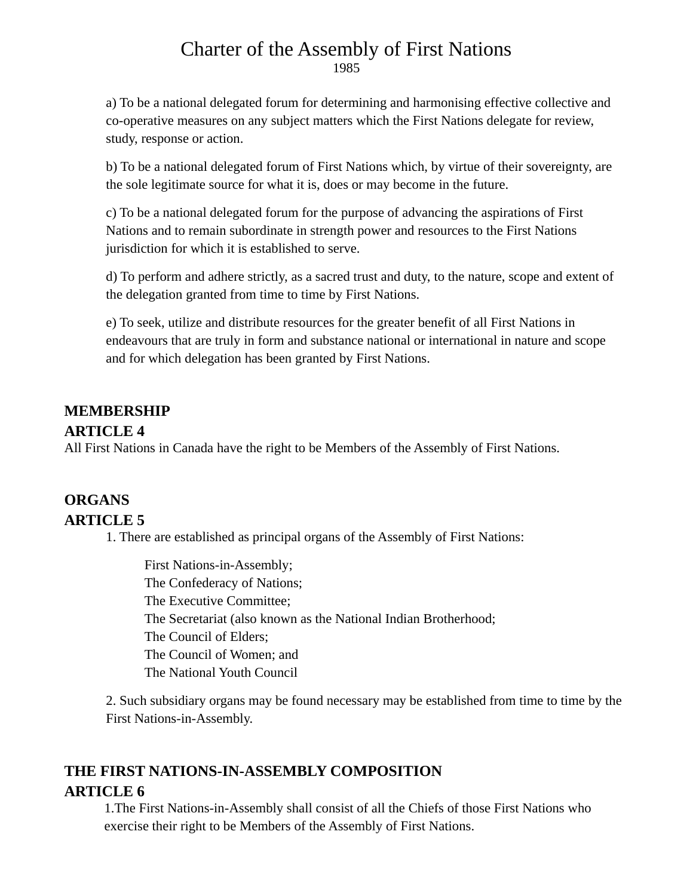a) To be a national delegated forum for determining and harmonising effective collective and co-operative measures on any subject matters which the First Nations delegate for review, study, response or action.

b) To be a national delegated forum of First Nations which, by virtue of their sovereignty, are the sole legitimate source for what it is, does or may become in the future.

c) To be a national delegated forum for the purpose of advancing the aspirations of First Nations and to remain subordinate in strength power and resources to the First Nations jurisdiction for which it is established to serve.

d) To perform and adhere strictly, as a sacred trust and duty, to the nature, scope and extent of the delegation granted from time to time by First Nations.

e) To seek, utilize and distribute resources for the greater benefit of all First Nations in endeavours that are truly in form and substance national or international in nature and scope and for which delegation has been granted by First Nations.

#### **MEMBERSHIP**

#### **ARTICLE 4**

All First Nations in Canada have the right to be Members of the Assembly of First Nations.

# **ORGANS ARTICLE 5**

1. There are established as principal organs of the Assembly of First Nations:

First Nations-in-Assembly; The Confederacy of Nations; The Executive Committee; The Secretariat (also known as the National Indian Brotherhood; The Council of Elders; The Council of Women; and The National Youth Council

2. Such subsidiary organs may be found necessary may be established from time to time by the First Nations-in-Assembly.

### **THE FIRST NATIONS-IN-ASSEMBLY COMPOSITION ARTICLE 6**

## 1.The First Nations-in-Assembly shall consist of all the Chiefs of those First Nations who exercise their right to be Members of the Assembly of First Nations.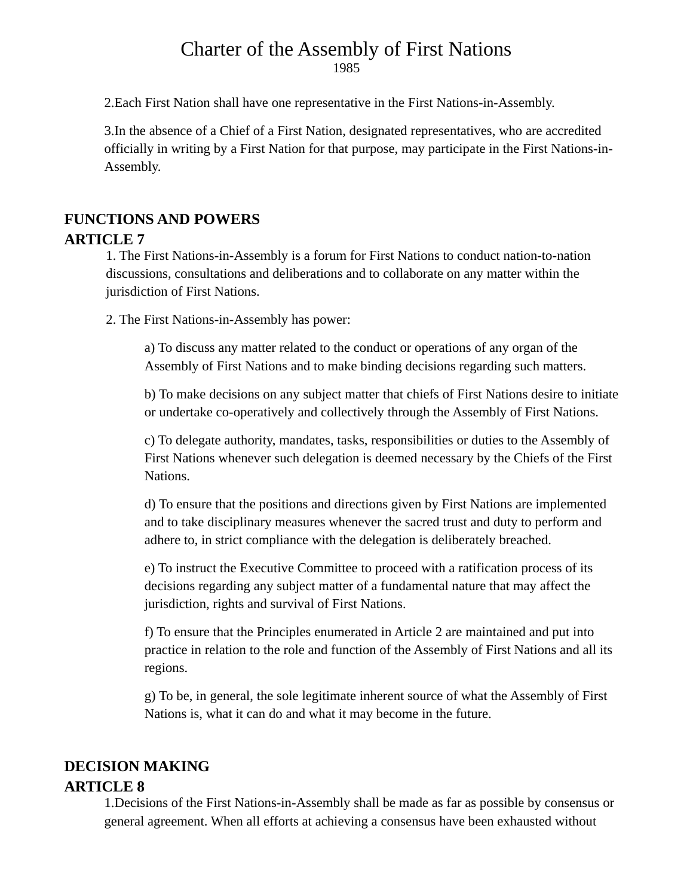2.Each First Nation shall have one representative in the First Nations-in-Assembly.

3.In the absence of a Chief of a First Nation, designated representatives, who are accredited officially in writing by a First Nation for that purpose, may participate in the First Nations-in-Assembly.

# **FUNCTIONS AND POWERS**

#### **ARTICLE 7**

1. The First Nations-in-Assembly is a forum for First Nations to conduct nation-to-nation discussions, consultations and deliberations and to collaborate on any matter within the jurisdiction of First Nations.

2. The First Nations-in-Assembly has power:

a) To discuss any matter related to the conduct or operations of any organ of the Assembly of First Nations and to make binding decisions regarding such matters.

b) To make decisions on any subject matter that chiefs of First Nations desire to initiate or undertake co-operatively and collectively through the Assembly of First Nations.

c) To delegate authority, mandates, tasks, responsibilities or duties to the Assembly of First Nations whenever such delegation is deemed necessary by the Chiefs of the First Nations.

d) To ensure that the positions and directions given by First Nations are implemented and to take disciplinary measures whenever the sacred trust and duty to perform and adhere to, in strict compliance with the delegation is deliberately breached.

e) To instruct the Executive Committee to proceed with a ratification process of its decisions regarding any subject matter of a fundamental nature that may affect the jurisdiction, rights and survival of First Nations.

f) To ensure that the Principles enumerated in Article 2 are maintained and put into practice in relation to the role and function of the Assembly of First Nations and all its regions.

g) To be, in general, the sole legitimate inherent source of what the Assembly of First Nations is, what it can do and what it may become in the future.

## **DECISION MAKING**

#### **ARTICLE 8**

1.Decisions of the First Nations-in-Assembly shall be made as far as possible by consensus or general agreement. When all efforts at achieving a consensus have been exhausted without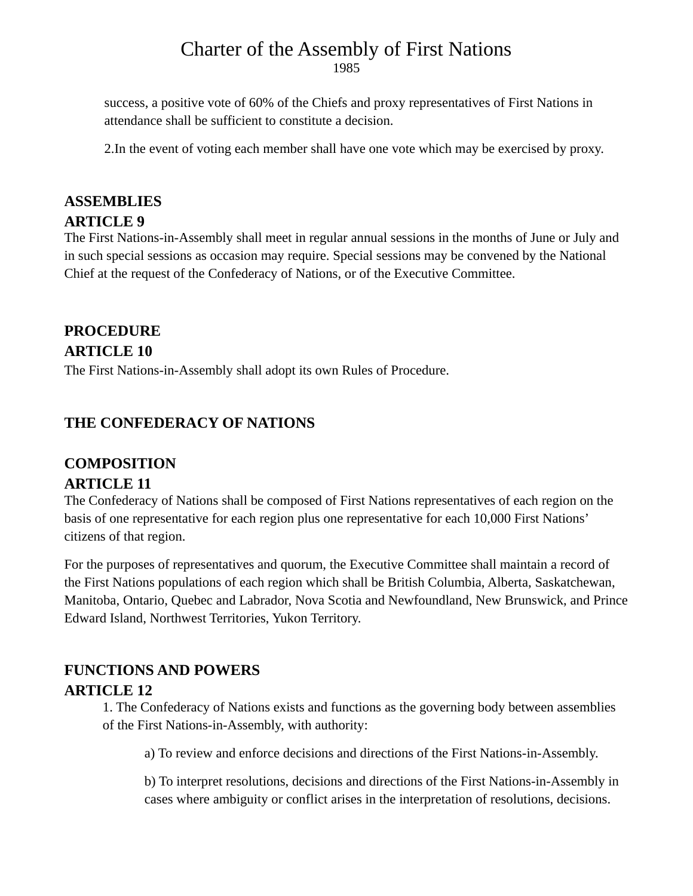success, a positive vote of 60% of the Chiefs and proxy representatives of First Nations in attendance shall be sufficient to constitute a decision.

2.In the event of voting each member shall have one vote which may be exercised by proxy.

## **ASSEMBLIES**

## **ARTICLE 9**

The First Nations-in-Assembly shall meet in regular annual sessions in the months of June or July and in such special sessions as occasion may require. Special sessions may be convened by the National Chief at the request of the Confederacy of Nations, or of the Executive Committee.

# **PROCEDURE**

## **ARTICLE 10**

The First Nations-in-Assembly shall adopt its own Rules of Procedure.

## **THE CONFEDERACY OF NATIONS**

## **COMPOSITION**

#### **ARTICLE 11**

The Confederacy of Nations shall be composed of First Nations representatives of each region on the basis of one representative for each region plus one representative for each 10,000 First Nations' citizens of that region.

For the purposes of representatives and quorum, the Executive Committee shall maintain a record of the First Nations populations of each region which shall be British Columbia, Alberta, Saskatchewan, Manitoba, Ontario, Quebec and Labrador, Nova Scotia and Newfoundland, New Brunswick, and Prince Edward Island, Northwest Territories, Yukon Territory.

## **FUNCTIONS AND POWERS**

## **ARTICLE 12**

1. The Confederacy of Nations exists and functions as the governing body between assemblies of the First Nations-in-Assembly, with authority:

a) To review and enforce decisions and directions of the First Nations-in-Assembly.

b) To interpret resolutions, decisions and directions of the First Nations-in-Assembly in cases where ambiguity or conflict arises in the interpretation of resolutions, decisions.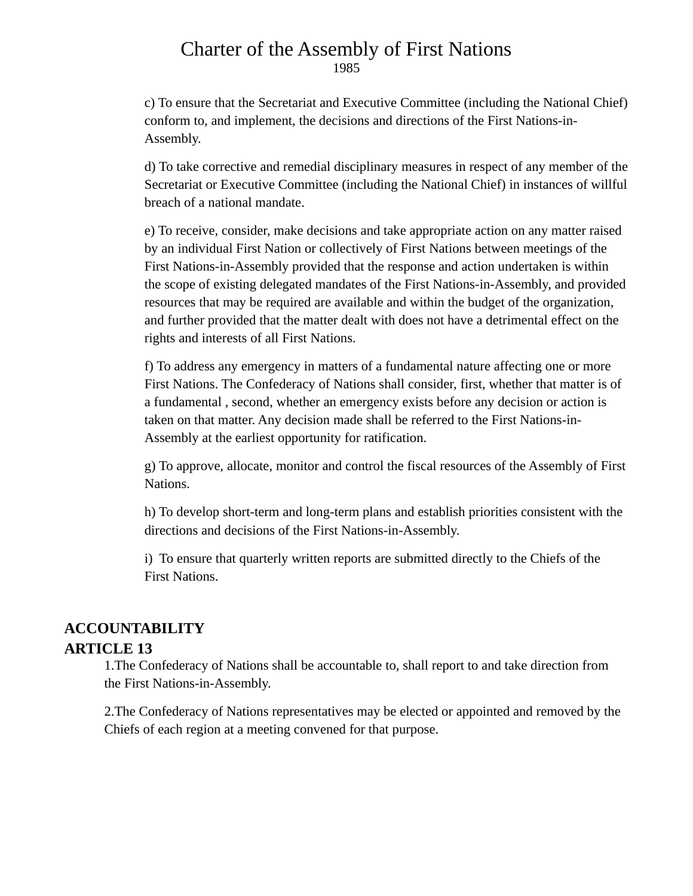c) To ensure that the Secretariat and Executive Committee (including the National Chief) conform to, and implement, the decisions and directions of the First Nations-in-Assembly.

d) To take corrective and remedial disciplinary measures in respect of any member of the Secretariat or Executive Committee (including the National Chief) in instances of willful breach of a national mandate.

e) To receive, consider, make decisions and take appropriate action on any matter raised by an individual First Nation or collectively of First Nations between meetings of the First Nations-in-Assembly provided that the response and action undertaken is within the scope of existing delegated mandates of the First Nations-in-Assembly, and provided resources that may be required are available and within the budget of the organization, and further provided that the matter dealt with does not have a detrimental effect on the rights and interests of all First Nations.

f) To address any emergency in matters of a fundamental nature affecting one or more First Nations. The Confederacy of Nations shall consider, first, whether that matter is of a fundamental , second, whether an emergency exists before any decision or action is taken on that matter. Any decision made shall be referred to the First Nations-in-Assembly at the earliest opportunity for ratification.

g) To approve, allocate, monitor and control the fiscal resources of the Assembly of First Nations.

h) To develop short-term and long-term plans and establish priorities consistent with the directions and decisions of the First Nations-in-Assembly.

i) To ensure that quarterly written reports are submitted directly to the Chiefs of the First Nations.

## **ACCOUNTABILITY**

#### **ARTICLE 13**

1.The Confederacy of Nations shall be accountable to, shall report to and take direction from the First Nations-in-Assembly.

2.The Confederacy of Nations representatives may be elected or appointed and removed by the Chiefs of each region at a meeting convened for that purpose.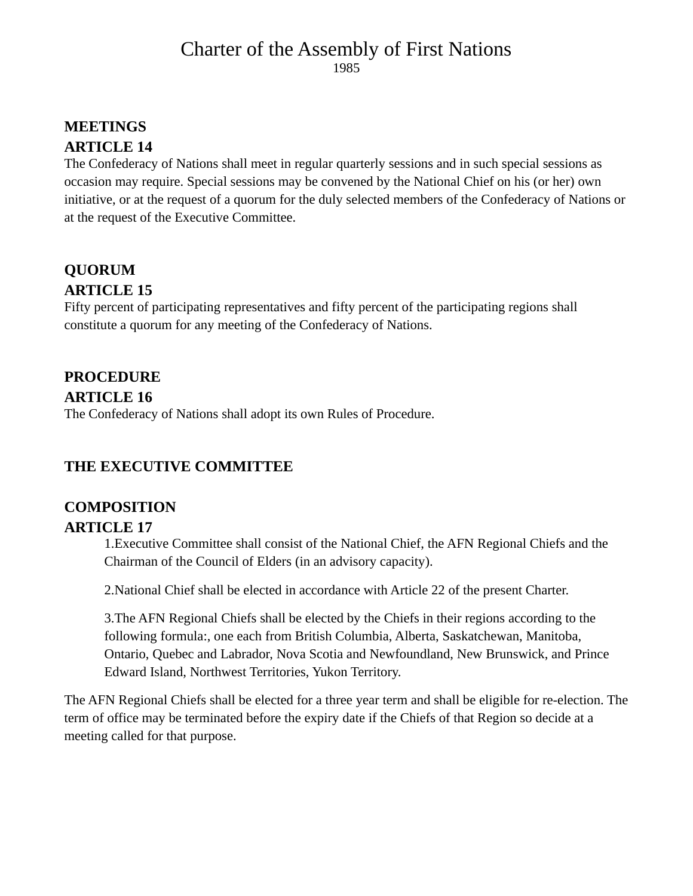# **MEETINGS**

### **ARTICLE 14**

The Confederacy of Nations shall meet in regular quarterly sessions and in such special sessions as occasion may require. Special sessions may be convened by the National Chief on his (or her) own initiative, or at the request of a quorum for the duly selected members of the Confederacy of Nations or at the request of the Executive Committee.

# **QUORUM ARTICLE 15**

Fifty percent of participating representatives and fifty percent of the participating regions shall constitute a quorum for any meeting of the Confederacy of Nations.

# **PROCEDURE**

#### **ARTICLE 16**

The Confederacy of Nations shall adopt its own Rules of Procedure.

## **THE EXECUTIVE COMMITTEE**

# **COMPOSITION**

## **ARTICLE 17**

1.Executive Committee shall consist of the National Chief, the AFN Regional Chiefs and the Chairman of the Council of Elders (in an advisory capacity).

2.National Chief shall be elected in accordance with Article 22 of the present Charter.

3.The AFN Regional Chiefs shall be elected by the Chiefs in their regions according to the following formula:, one each from British Columbia, Alberta, Saskatchewan, Manitoba, Ontario, Quebec and Labrador, Nova Scotia and Newfoundland, New Brunswick, and Prince Edward Island, Northwest Territories, Yukon Territory.

The AFN Regional Chiefs shall be elected for a three year term and shall be eligible for re-election. The term of office may be terminated before the expiry date if the Chiefs of that Region so decide at a meeting called for that purpose.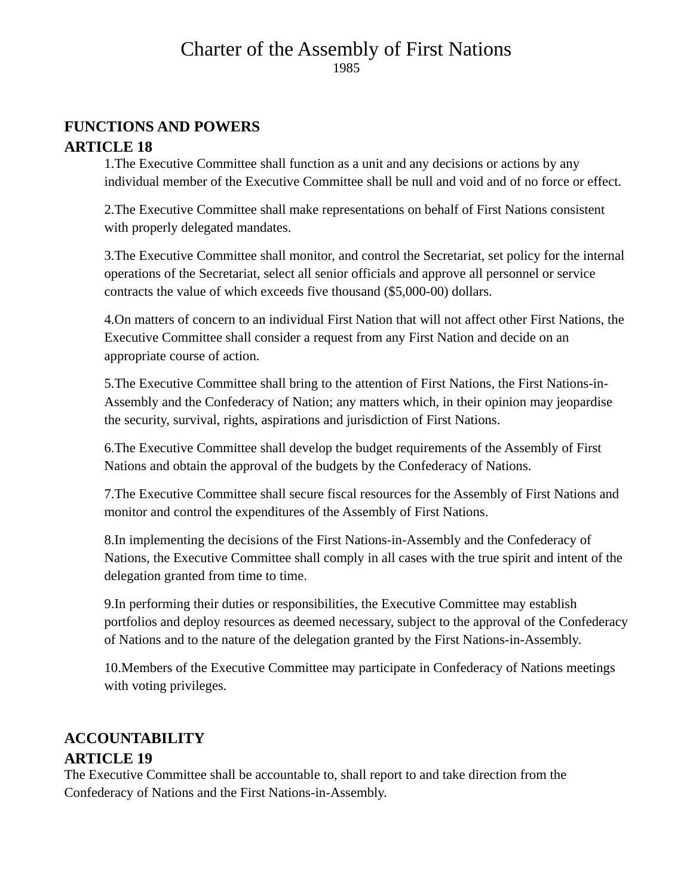# **FUNCTIONS AND POWERS**

#### **ARTICLE 18**

1.The Executive Committee shall function as a unit and any decisions or actions by any individual member of the Executive Committee shall be null and void and of no force or effect.

2.The Executive Committee shall make representations on behalf of First Nations consistent with properly delegated mandates.

3.The Executive Committee shall monitor, and control the Secretariat, set policy for the internal operations of the Secretariat, select all senior officials and approve all personnel or service contracts the value of which exceeds five thousand (\$5,000-00) dollars.

4.On matters of concern to an individual First Nation that will not affect other First Nations, the Executive Committee shall consider a request from any First Nation and decide on an appropriate course of action.

5.The Executive Committee shall bring to the attention of First Nations, the First Nations-in-Assembly and the Confederacy of Nation; any matters which, in their opinion may jeopardise the security, survival, rights, aspirations and jurisdiction of First Nations.

6.The Executive Committee shall develop the budget requirements of the Assembly of First Nations and obtain the approval of the budgets by the Confederacy of Nations.

7.The Executive Committee shall secure fiscal resources for the Assembly of First Nations and monitor and control the expenditures of the Assembly of First Nations.

8.In implementing the decisions of the First Nations-in-Assembly and the Confederacy of Nations, the Executive Committee shall comply in all cases with the true spirit and intent of the delegation granted from time to time.

9.In performing their duties or responsibilities, the Executive Committee may establish portfolios and deploy resources as deemed necessary, subject to the approval of the Confederacy of Nations and to the nature of the delegation granted by the First Nations-in-Assembly.

10.Members of the Executive Committee may participate in Confederacy of Nations meetings with voting privileges.

# **ACCOUNTABILITY**

## **ARTICLE 19**

The Executive Committee shall be accountable to, shall report to and take direction from the Confederacy of Nations and the First Nations-in-Assembly.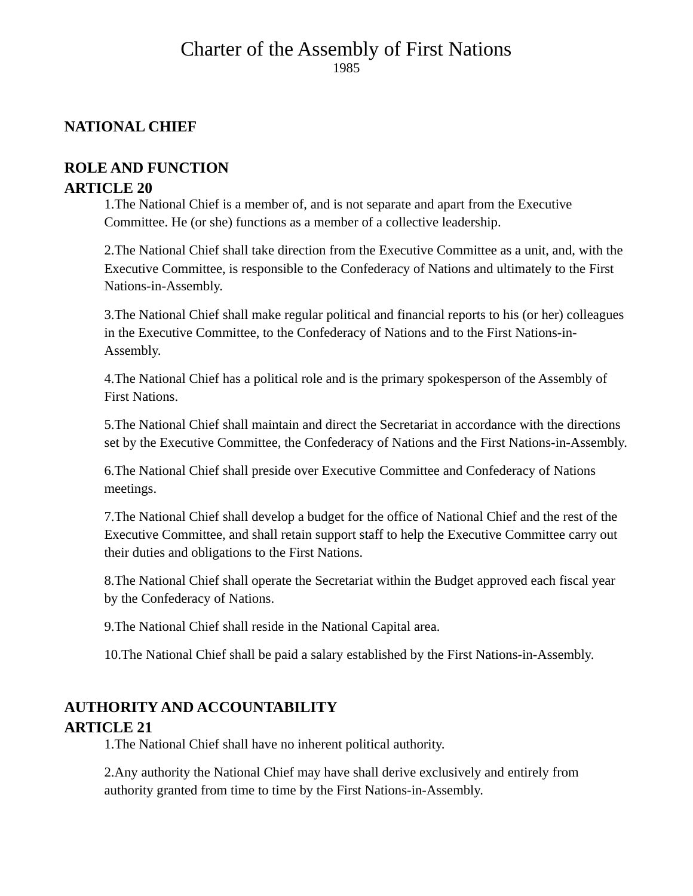## **NATIONAL CHIEF**

## **ROLE AND FUNCTION**

#### **ARTICLE 20**

1.The National Chief is a member of, and is not separate and apart from the Executive Committee. He (or she) functions as a member of a collective leadership.

2.The National Chief shall take direction from the Executive Committee as a unit, and, with the Executive Committee, is responsible to the Confederacy of Nations and ultimately to the First Nations-in-Assembly.

3.The National Chief shall make regular political and financial reports to his (or her) colleagues in the Executive Committee, to the Confederacy of Nations and to the First Nations-in-Assembly.

4.The National Chief has a political role and is the primary spokesperson of the Assembly of First Nations.

5.The National Chief shall maintain and direct the Secretariat in accordance with the directions set by the Executive Committee, the Confederacy of Nations and the First Nations-in-Assembly.

6.The National Chief shall preside over Executive Committee and Confederacy of Nations meetings.

7.The National Chief shall develop a budget for the office of National Chief and the rest of the Executive Committee, and shall retain support staff to help the Executive Committee carry out their duties and obligations to the First Nations.

8.The National Chief shall operate the Secretariat within the Budget approved each fiscal year by the Confederacy of Nations.

9.The National Chief shall reside in the National Capital area.

10.The National Chief shall be paid a salary established by the First Nations-in-Assembly.

## **AUTHORITY AND ACCOUNTABILITY**

#### **ARTICLE 21**

1.The National Chief shall have no inherent political authority.

2.Any authority the National Chief may have shall derive exclusively and entirely from authority granted from time to time by the First Nations-in-Assembly.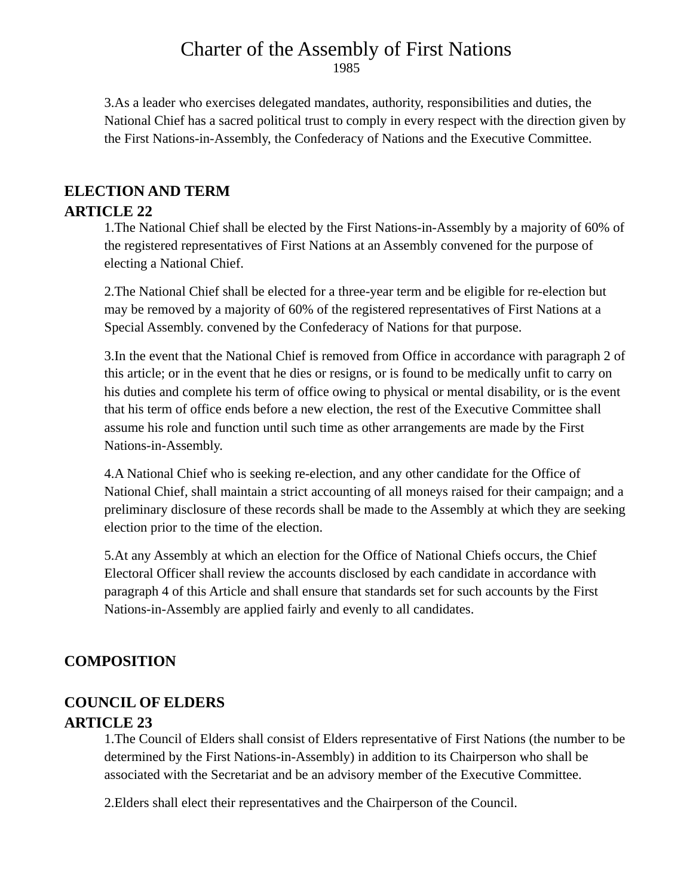3.As a leader who exercises delegated mandates, authority, responsibilities and duties, the National Chief has a sacred political trust to comply in every respect with the direction given by the First Nations-in-Assembly, the Confederacy of Nations and the Executive Committee.

## **ELECTION AND TERM**

#### **ARTICLE 22**

1.The National Chief shall be elected by the First Nations-in-Assembly by a majority of 60% of the registered representatives of First Nations at an Assembly convened for the purpose of electing a National Chief.

2.The National Chief shall be elected for a three-year term and be eligible for re-election but may be removed by a majority of 60% of the registered representatives of First Nations at a Special Assembly. convened by the Confederacy of Nations for that purpose.

3.In the event that the National Chief is removed from Office in accordance with paragraph 2 of this article; or in the event that he dies or resigns, or is found to be medically unfit to carry on his duties and complete his term of office owing to physical or mental disability, or is the event that his term of office ends before a new election, the rest of the Executive Committee shall assume his role and function until such time as other arrangements are made by the First Nations-in-Assembly.

4.A National Chief who is seeking re-election, and any other candidate for the Office of National Chief, shall maintain a strict accounting of all moneys raised for their campaign; and a preliminary disclosure of these records shall be made to the Assembly at which they are seeking election prior to the time of the election.

5.At any Assembly at which an election for the Office of National Chiefs occurs, the Chief Electoral Officer shall review the accounts disclosed by each candidate in accordance with paragraph 4 of this Article and shall ensure that standards set for such accounts by the First Nations-in-Assembly are applied fairly and evenly to all candidates.

#### **COMPOSITION**

## **COUNCIL OF ELDERS ARTICLE 23**

1.The Council of Elders shall consist of Elders representative of First Nations (the number to be determined by the First Nations-in-Assembly) in addition to its Chairperson who shall be associated with the Secretariat and be an advisory member of the Executive Committee.

2.Elders shall elect their representatives and the Chairperson of the Council.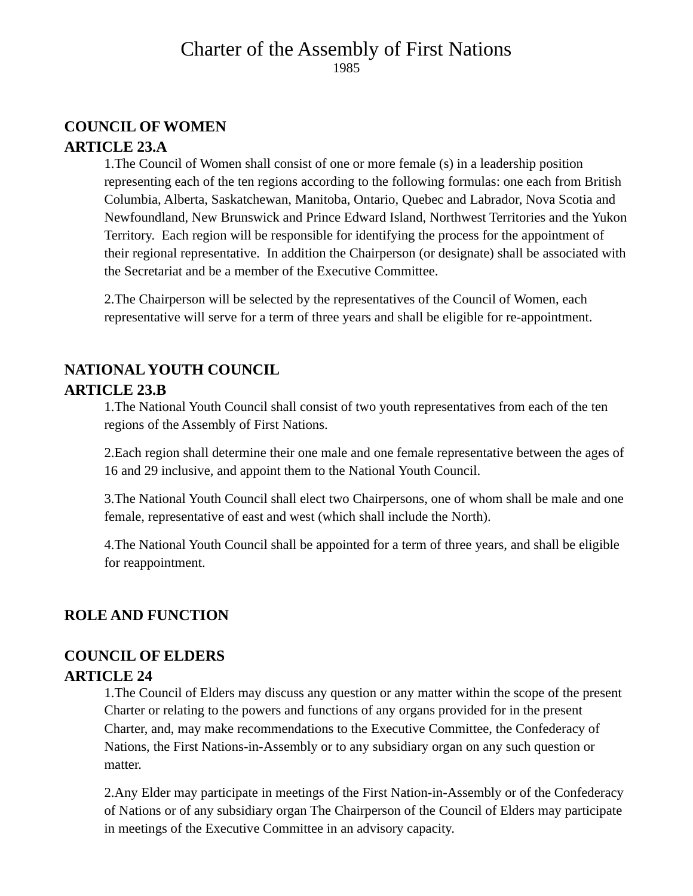# **COUNCIL OF WOMEN**

## **ARTICLE 23.A**

1.The Council of Women shall consist of one or more female (s) in a leadership position representing each of the ten regions according to the following formulas: one each from British Columbia, Alberta, Saskatchewan, Manitoba, Ontario, Quebec and Labrador, Nova Scotia and Newfoundland, New Brunswick and Prince Edward Island, Northwest Territories and the Yukon Territory. Each region will be responsible for identifying the process for the appointment of their regional representative. In addition the Chairperson (or designate) shall be associated with the Secretariat and be a member of the Executive Committee.

2.The Chairperson will be selected by the representatives of the Council of Women, each representative will serve for a term of three years and shall be eligible for re-appointment.

# **NATIONAL YOUTH COUNCIL**

#### **ARTICLE 23.B**

1.The National Youth Council shall consist of two youth representatives from each of the ten regions of the Assembly of First Nations.

2.Each region shall determine their one male and one female representative between the ages of 16 and 29 inclusive, and appoint them to the National Youth Council.

3.The National Youth Council shall elect two Chairpersons, one of whom shall be male and one female, representative of east and west (which shall include the North).

4.The National Youth Council shall be appointed for a term of three years, and shall be eligible for reappointment.

#### **ROLE AND FUNCTION**

# **COUNCIL OF ELDERS**

#### **ARTICLE 24**

1.The Council of Elders may discuss any question or any matter within the scope of the present Charter or relating to the powers and functions of any organs provided for in the present Charter, and, may make recommendations to the Executive Committee, the Confederacy of Nations, the First Nations-in-Assembly or to any subsidiary organ on any such question or matter.

2.Any Elder may participate in meetings of the First Nation-in-Assembly or of the Confederacy of Nations or of any subsidiary organ The Chairperson of the Council of Elders may participate in meetings of the Executive Committee in an advisory capacity.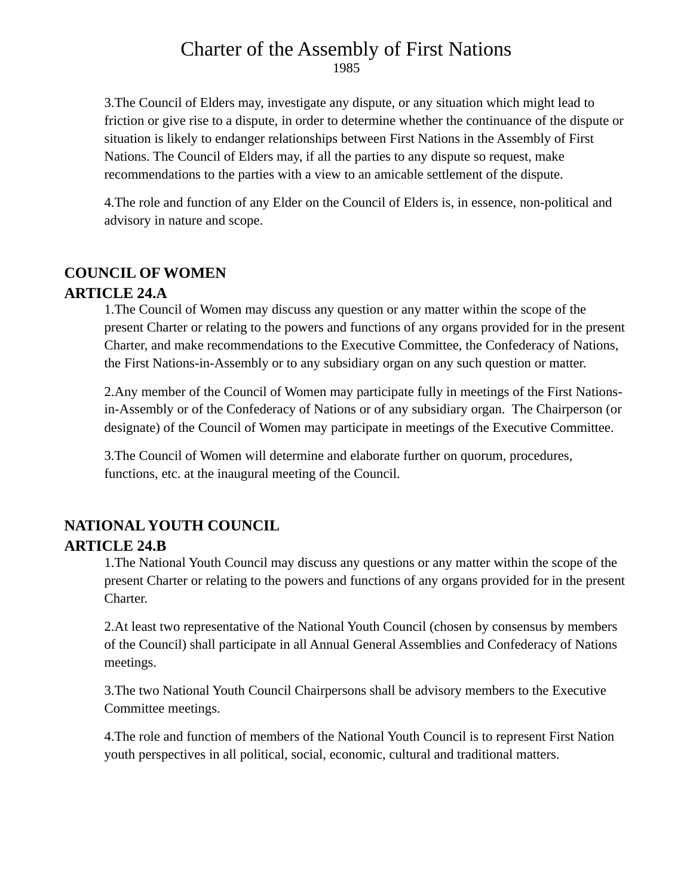3.The Council of Elders may, investigate any dispute, or any situation which might lead to friction or give rise to a dispute, in order to determine whether the continuance of the dispute or situation is likely to endanger relationships between First Nations in the Assembly of First Nations. The Council of Elders may, if all the parties to any dispute so request, make recommendations to the parties with a view to an amicable settlement of the dispute.

4.The role and function of any Elder on the Council of Elders is, in essence, non-political and advisory in nature and scope.

#### **COUNCIL OF WOMEN**

#### **ARTICLE 24.A**

1.The Council of Women may discuss any question or any matter within the scope of the present Charter or relating to the powers and functions of any organs provided for in the present Charter, and make recommendations to the Executive Committee, the Confederacy of Nations, the First Nations-in-Assembly or to any subsidiary organ on any such question or matter.

2.Any member of the Council of Women may participate fully in meetings of the First Nationsin-Assembly or of the Confederacy of Nations or of any subsidiary organ. The Chairperson (or designate) of the Council of Women may participate in meetings of the Executive Committee.

3.The Council of Women will determine and elaborate further on quorum, procedures, functions, etc. at the inaugural meeting of the Council.

# **NATIONAL YOUTH COUNCIL**

#### **ARTICLE 24.B**

1.The National Youth Council may discuss any questions or any matter within the scope of the present Charter or relating to the powers and functions of any organs provided for in the present Charter.

2.At least two representative of the National Youth Council (chosen by consensus by members of the Council) shall participate in all Annual General Assemblies and Confederacy of Nations meetings.

3.The two National Youth Council Chairpersons shall be advisory members to the Executive Committee meetings.

4.The role and function of members of the National Youth Council is to represent First Nation youth perspectives in all political, social, economic, cultural and traditional matters.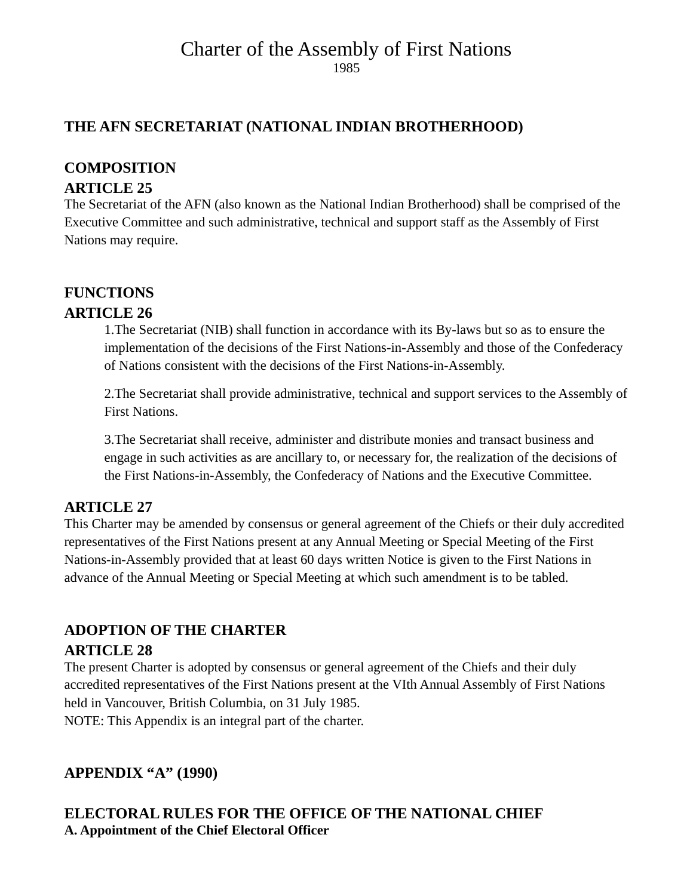## **THE AFN SECRETARIAT (NATIONAL INDIAN BROTHERHOOD)**

## **COMPOSITION**

#### **ARTICLE 25**

The Secretariat of the AFN (also known as the National Indian Brotherhood) shall be comprised of the Executive Committee and such administrative, technical and support staff as the Assembly of First Nations may require.

# **FUNCTIONS**

## **ARTICLE 26**

1.The Secretariat (NIB) shall function in accordance with its By-laws but so as to ensure the implementation of the decisions of the First Nations-in-Assembly and those of the Confederacy of Nations consistent with the decisions of the First Nations-in-Assembly.

2.The Secretariat shall provide administrative, technical and support services to the Assembly of First Nations.

3.The Secretariat shall receive, administer and distribute monies and transact business and engage in such activities as are ancillary to, or necessary for, the realization of the decisions of the First Nations-in-Assembly, the Confederacy of Nations and the Executive Committee.

#### **ARTICLE 27**

This Charter may be amended by consensus or general agreement of the Chiefs or their duly accredited representatives of the First Nations present at any Annual Meeting or Special Meeting of the First Nations-in-Assembly provided that at least 60 days written Notice is given to the First Nations in advance of the Annual Meeting or Special Meeting at which such amendment is to be tabled.

# **ADOPTION OF THE CHARTER**

#### **ARTICLE 28**

The present Charter is adopted by consensus or general agreement of the Chiefs and their duly accredited representatives of the First Nations present at the VIth Annual Assembly of First Nations held in Vancouver, British Columbia, on 31 July 1985.

NOTE: This Appendix is an integral part of the charter.

## **APPENDIX "A" (1990)**

## **ELECTORAL RULES FOR THE OFFICE OF THE NATIONAL CHIEF A. Appointment of the Chief Electoral Officer**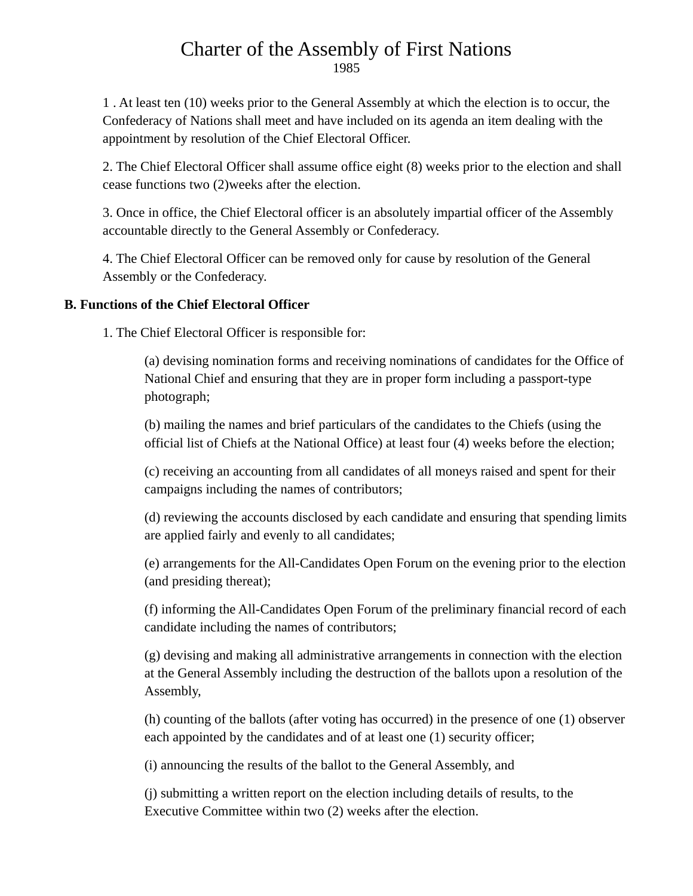1 . At least ten (10) weeks prior to the General Assembly at which the election is to occur, the Confederacy of Nations shall meet and have included on its agenda an item dealing with the appointment by resolution of the Chief Electoral Officer.

2. The Chief Electoral Officer shall assume office eight (8) weeks prior to the election and shall cease functions two (2)weeks after the election.

3. Once in office, the Chief Electoral officer is an absolutely impartial officer of the Assembly accountable directly to the General Assembly or Confederacy.

4. The Chief Electoral Officer can be removed only for cause by resolution of the General Assembly or the Confederacy.

#### **B. Functions of the Chief Electoral Officer**

1. The Chief Electoral Officer is responsible for:

(a) devising nomination forms and receiving nominations of candidates for the Office of National Chief and ensuring that they are in proper form including a passport-type photograph;

(b) mailing the names and brief particulars of the candidates to the Chiefs (using the official list of Chiefs at the National Office) at least four (4) weeks before the election;

(c) receiving an accounting from all candidates of all moneys raised and spent for their campaigns including the names of contributors;

(d) reviewing the accounts disclosed by each candidate and ensuring that spending limits are applied fairly and evenly to all candidates;

(e) arrangements for the All-Candidates Open Forum on the evening prior to the election (and presiding thereat);

(f) informing the All-Candidates Open Forum of the preliminary financial record of each candidate including the names of contributors;

(g) devising and making all administrative arrangements in connection with the election at the General Assembly including the destruction of the ballots upon a resolution of the Assembly,

(h) counting of the ballots (after voting has occurred) in the presence of one (1) observer each appointed by the candidates and of at least one (1) security officer;

(i) announcing the results of the ballot to the General Assembly, and

(j) submitting a written report on the election including details of results, to the Executive Committee within two (2) weeks after the election.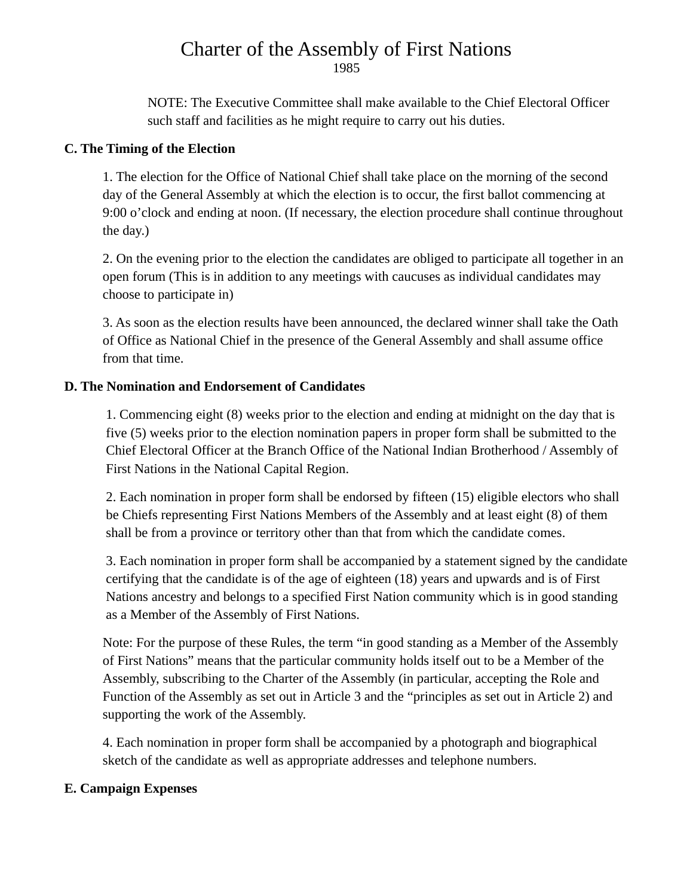NOTE: The Executive Committee shall make available to the Chief Electoral Officer such staff and facilities as he might require to carry out his duties.

#### **C. The Timing of the Election**

1. The election for the Office of National Chief shall take place on the morning of the second day of the General Assembly at which the election is to occur, the first ballot commencing at 9:00 o'clock and ending at noon. (If necessary, the election procedure shall continue throughout the day.)

2. On the evening prior to the election the candidates are obliged to participate all together in an open forum (This is in addition to any meetings with caucuses as individual candidates may choose to participate in)

3. As soon as the election results have been announced, the declared winner shall take the Oath of Office as National Chief in the presence of the General Assembly and shall assume office from that time.

#### **D. The Nomination and Endorsement of Candidates**

1. Commencing eight (8) weeks prior to the election and ending at midnight on the day that is five (5) weeks prior to the election nomination papers in proper form shall be submitted to the Chief Electoral Officer at the Branch Office of the National Indian Brotherhood / Assembly of First Nations in the National Capital Region.

2. Each nomination in proper form shall be endorsed by fifteen (15) eligible electors who shall be Chiefs representing First Nations Members of the Assembly and at least eight (8) of them shall be from a province or territory other than that from which the candidate comes.

3. Each nomination in proper form shall be accompanied by a statement signed by the candidate certifying that the candidate is of the age of eighteen (18) years and upwards and is of First Nations ancestry and belongs to a specified First Nation community which is in good standing as a Member of the Assembly of First Nations.

Note: For the purpose of these Rules, the term "in good standing as a Member of the Assembly of First Nations" means that the particular community holds itself out to be a Member of the Assembly, subscribing to the Charter of the Assembly (in particular, accepting the Role and Function of the Assembly as set out in Article 3 and the "principles as set out in Article 2) and supporting the work of the Assembly.

4. Each nomination in proper form shall be accompanied by a photograph and biographical sketch of the candidate as well as appropriate addresses and telephone numbers.

#### **E. Campaign Expenses**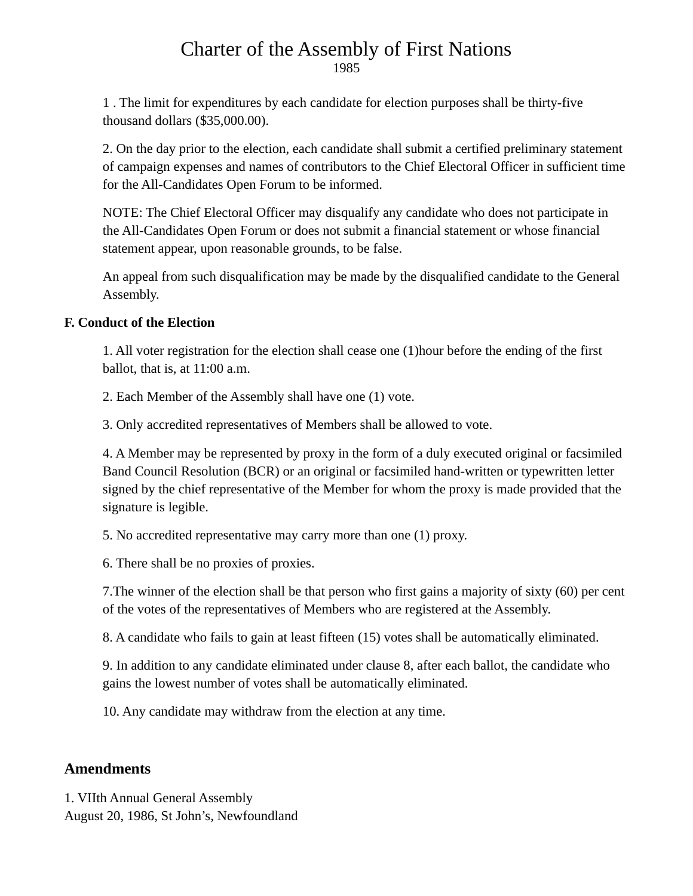1 . The limit for expenditures by each candidate for election purposes shall be thirty-five thousand dollars (\$35,000.00).

2. On the day prior to the election, each candidate shall submit a certified preliminary statement of campaign expenses and names of contributors to the Chief Electoral Officer in sufficient time for the All-Candidates Open Forum to be informed.

NOTE: The Chief Electoral Officer may disqualify any candidate who does not participate in the All-Candidates Open Forum or does not submit a financial statement or whose financial statement appear, upon reasonable grounds, to be false.

An appeal from such disqualification may be made by the disqualified candidate to the General Assembly.

#### **F. Conduct of the Election**

1. All voter registration for the election shall cease one (1)hour before the ending of the first ballot, that is, at 11:00 a.m.

2. Each Member of the Assembly shall have one (1) vote.

3. Only accredited representatives of Members shall be allowed to vote.

4. A Member may be represented by proxy in the form of a duly executed original or facsimiled Band Council Resolution (BCR) or an original or facsimiled hand-written or typewritten letter signed by the chief representative of the Member for whom the proxy is made provided that the signature is legible.

5. No accredited representative may carry more than one (1) proxy.

6. There shall be no proxies of proxies.

7.The winner of the election shall be that person who first gains a majority of sixty (60) per cent of the votes of the representatives of Members who are registered at the Assembly.

8. A candidate who fails to gain at least fifteen (15) votes shall be automatically eliminated.

9. In addition to any candidate eliminated under clause 8, after each ballot, the candidate who gains the lowest number of votes shall be automatically eliminated.

10. Any candidate may withdraw from the election at any time.

#### **Amendments**

1. VIIth Annual General Assembly August 20, 1986, St John's, Newfoundland